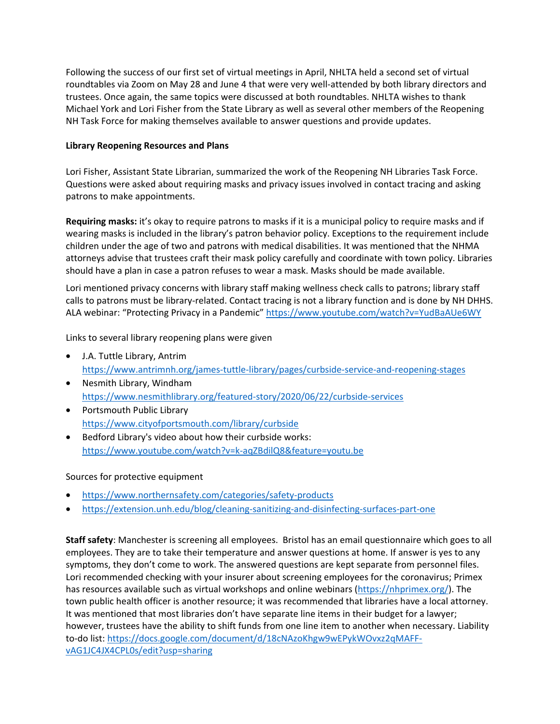Following the success of our first set of virtual meetings in April, NHLTA held a second set of virtual roundtables via Zoom on May 28 and June 4 that were very well-attended by both library directors and trustees. Once again, the same topics were discussed at both roundtables. NHLTA wishes to thank Michael York and Lori Fisher from the State Library as well as several other members of the Reopening NH Task Force for making themselves available to answer questions and provide updates.

## **Library Reopening Resources and Plans**

Lori Fisher, Assistant State Librarian, summarized the work of the Reopening NH Libraries Task Force. Questions were asked about requiring masks and privacy issues involved in contact tracing and asking patrons to make appointments.

**Requiring masks:** it's okay to require patrons to masks if it is a municipal policy to require masks and if wearing masks is included in the library's patron behavior policy. Exceptions to the requirement include children under the age of two and patrons with medical disabilities. It was mentioned that the NHMA attorneys advise that trustees craft their mask policy carefully and coordinate with town policy. Libraries should have a plan in case a patron refuses to wear a mask. Masks should be made available.

Lori mentioned privacy concerns with library staff making wellness check calls to patrons; library staff calls to patrons must be library-related. Contact tracing is not a library function and is done by NH DHHS. ALA webinar: "Protecting Privacy in a Pandemic" https://www.youtube.com/watch?v=YudBaAUe6WY

Links to several library reopening plans were given

- J.A. Tuttle Library, Antrim https://www.antrimnh.org/james-tuttle-library/pages/curbside-service-and-reopening-stages
- Nesmith Library, Windham https://www.nesmithlibrary.org/featured-story/2020/06/22/curbside-services
- Portsmouth Public Library https://www.cityofportsmouth.com/library/curbside
- Bedford Library's video about how their curbside works: https://www.youtube.com/watch?v=k-aqZBdilQ8&feature=youtu.be

## Sources for protective equipment

- https://www.northernsafety.com/categories/safety-products
- https://extension.unh.edu/blog/cleaning-sanitizing-and-disinfecting-surfaces-part-one

**Staff safety**: Manchester is screening all employees. Bristol has an email questionnaire which goes to all employees. They are to take their temperature and answer questions at home. If answer is yes to any symptoms, they don't come to work. The answered questions are kept separate from personnel files. Lori recommended checking with your insurer about screening employees for the coronavirus; Primex has resources available such as virtual workshops and online webinars (https://nhprimex.org/). The town public health officer is another resource; it was recommended that libraries have a local attorney. It was mentioned that most libraries don't have separate line items in their budget for a lawyer; however, trustees have the ability to shift funds from one line item to another when necessary. Liability to-do list: https://docs.google.com/document/d/18cNAzoKhgw9wEPykWOvxz2qMAFFvAG1JC4JX4CPL0s/edit?usp=sharing